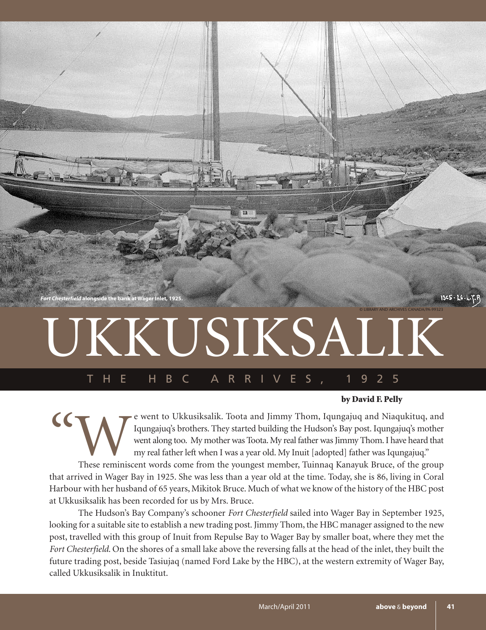*Fort Chesterfield* **alongside the bank at Wager Inlet, 1925.** 

## UKKUSIKSALIK

T H E H B C A R R I V E S , 1 9 2 5

## **by David F. Pelly**

© LIBRARY AND ARCHIVES CANADA/PA-99323

 $1355.26.17.$ 

Event to Ukkusiksalik. Toota and Jimmy Thom, Iqungajuq and Niaqukituq, and Iqungajuq's brothers. They started building the Hudson's Bay post. Iqungajuq's mother went along too. My mother was Toota. My real father was Jimmy Iqungajuq's brothers. They started building the Hudson's Bay post. Iqungajuq's mother went along too. My mother was Toota. My real father was Jimmy Thom. I have heard that my real father left when I was a year old. My Inuit [adopted] father was Iqungajuq."

These reminiscent words come from the youngest member, Tuinnaq Kanayuk Bruce, of the group that arrived in Wager Bay in 1925. She was less than a year old at the time. Today, she is 86, living in Coral Harbour with her husband of 65 years, Mikitok Bruce. Much of what we know of the history of the HBC post at Ukkusiksalik has been recorded for us by Mrs. Bruce.

The Hudson's Bay Company's schooner *Fort Chesterfield* sailed into Wager Bay in September 1925, looking for a suitable site to establish a new trading post. Jimmy Thom, the HBC manager assigned to the new post, travelled with this group of Inuit from Repulse Bay to Wager Bay by smaller boat, where they met the *Fort Chesterfield*. On the shores of a small lake above the reversing falls at the head of the inlet, they built the future trading post, beside Tasiujaq (named Ford Lake by the HBC), at the western extremity of Wager Bay, called Ukkusiksalik in Inuktitut.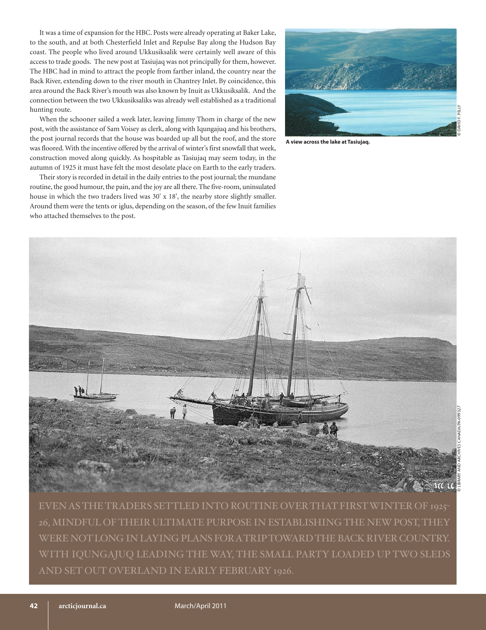It was a time of expansion for the HBC. Posts were already operating at Baker Lake, to the south, and at both Chesterfield Inlet and Repulse Bay along the Hudson Bay coast. The people who lived around Ukkusiksalik were certainly well aware of this access to trade goods. The new post at Tasiujaq was not principally for them, however. The HBC had in mind to attract the people from farther inland, the country near the Back River, extending down to the river mouth in Chantrey Inlet. By coincidence, this area around the Back River's mouth was also known by Inuit as Ukkusiksalik. And the connection between the two Ukkusiksaliks was already well established as a traditional hunting route.

When the schooner sailed a week later, leaving Jimmy Thom in charge of the new post, with the assistance of Sam Voisey as clerk, along with Iqungajuq and his brothers, the post journal records that the house was boarded up all but the roof, and the store was floored. With the incentive offered by the arrival of winter's first snowfall that week, construction moved along quickly. As hospitable as Tasiujaq may seem today, in the autumn of 1925 it must have felt the most desolate place on Earth to the early traders.

Their story is recorded in detail in the daily entries to the post journal; the mundane routine, the good humour, the pain, and the joy are all there. The five-room, uninsulated house in which the two traders lived was 30' x 18', the nearby store slightly smaller. Around them were the tents or iglus, depending on the season, of the few Inuit families who attached themselves to the post.



**A view across the lake at Tasiujaq.** 



EVEN AS THE TRADERS SETTLED INTO ROUTINE OVER THAT FIRST WINTER OF 1925-26, mindful of thEir ultimatE purposE in Establishing thE nEw post, thEy wErE not long in laying plans for a trip toward thE back rivEr country. WITH IQUNGAJUQ LEADING THE WAY, THE SMALL PARTY LOADED UP TWO SLEDS and sEt out ovErland in Early fEbruary 1926.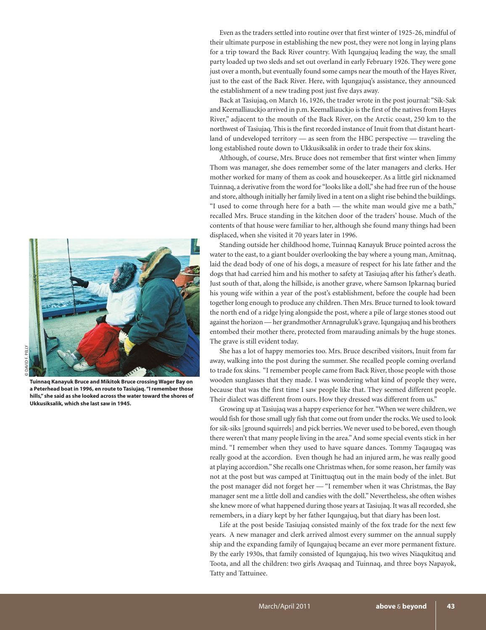

**Tuinnaq Kanayuk Bruce and Mikitok Bruce crossing Wager Bay on a Peterhead boat in 1996, en route to Tasiujaq. "I remember those hills," she said as she looked across the water toward the shores of Ukkusiksalik, which she last saw in 1945.**

Even as the traders settled into routine over that first winter of 1925-26, mindful of their ultimate purpose in establishing the new post, they were not long in laying plans for a trip toward the Back River country. With Iqungajuq leading the way, the small party loaded up two sleds and set out overland in early February 1926. They were gone just over a month, but eventually found some camps near the mouth of the Hayes River, just to the east of the Back River. Here, with Iqungajuq's assistance, they announced the establishment of a new trading post just five days away.

Back at Tasiujaq, on March 16, 1926, the trader wrote in the post journal: "Sik-Sak and Keemalliauckjo arrived in p.m. Keemalliauckjo is the first of the natives from Hayes River," adjacent to the mouth of the Back River, on the Arctic coast, 250 km to the northwest of Tasiujaq. This is the first recorded instance of Inuit from that distant heartland of undeveloped territory — as seen from the HBC perspective — traveling the long established route down to Ukkusiksalik in order to trade their fox skins.

Although, of course, Mrs. Bruce does not remember that first winter when Jimmy Thom was manager, she does remember some of the later managers and clerks. Her mother worked for many of them as cook and housekeeper. As a little girl nicknamed Tuinnaq, a derivative from the word for "looks like a doll," she had free run of the house and store, although initially her family lived in a tent on a slight rise behind the buildings. "I used to come through here for a bath — the white man would give me a bath," recalled Mrs. Bruce standing in the kitchen door of the traders' house. Much of the contents of that house were familiar to her, although she found many things had been displaced, when she visited it 70 years later in 1996.

Standing outside her childhood home, Tuinnaq Kanayuk Bruce pointed across the water to the east, to a giant boulder overlooking the bay where a young man, Amitnaq, laid the dead body of one of his dogs, a measure of respect for his late father and the dogs that had carried him and his mother to safety at Tasiujaq after his father's death. Just south of that, along the hillside, is another grave, where Samson Ipkarnaq buried his young wife within a year of the post's establishment, before the couple had been together long enough to produce any children. Then Mrs. Bruce turned to look toward the north end of a ridge lying alongside the post, where a pile of large stones stood out against the horizon — her grandmother Arnnagruluk's grave. Iqungajuq and his brothers entombed their mother there, protected from marauding animals by the huge stones. The grave is still evident today.

She has a lot of happy memories too. Mrs. Bruce described visitors, Inuit from far away, walking into the post during the summer. She recalled people coming overland to trade fox skins. "I remember people came from Back River, those people with those wooden sunglasses that they made. I was wondering what kind of people they were, because that was the first time I saw people like that. They seemed different people. Their dialect was different from ours. How they dressed was different from us."

Growing up at Tasiujaq was a happy experience for her. "When we were children, we would fish for those small ugly fish that come out from under the rocks. We used to look for sik-siks [ground squirrels] and pick berries. We never used to be bored, even though there weren't that many people living in the area." And some special events stick in her mind. "I remember when they used to have square dances. Tommy Taqaugaq was really good at the accordion. Even though he had an injured arm, he was really good at playing accordion." She recalls one Christmas when, for some reason, her family was not at the post but was camped at Tinittuqtuq out in the main body of the inlet. But the post manager did not forget her — "I remember when it was Christmas, the Bay manager sent me a little doll and candies with the doll." Nevertheless, she often wishes she knew more of what happened during those years at Tasiujaq. It was all recorded, she remembers, in a diary kept by her father Iqungajuq, but that diary has been lost.

Life at the post beside Tasiujaq consisted mainly of the fox trade for the next few years. A new manager and clerk arrived almost every summer on the annual supply ship and the expanding family of Iqungajuq became an ever more permanent fixture. By the early 1930s, that family consisted of Iqungajuq, his two wives Niaqukituq and Toota, and all the children: two girls Avaqsaq and Tuinnaq, and three boys Napayok, Tatty and Tattuinee.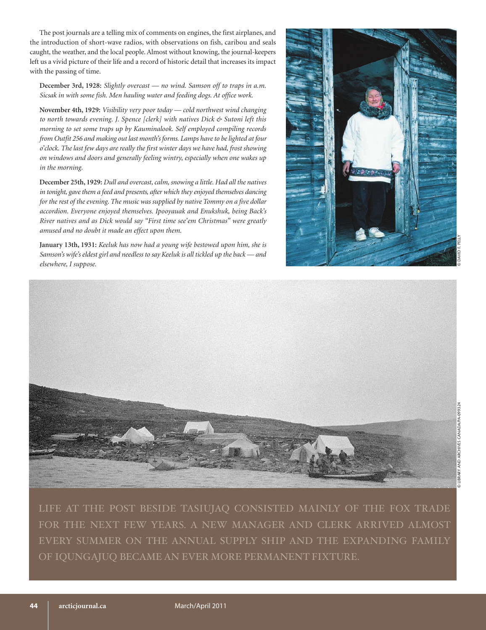The post journals are a telling mix of comments on engines, the first airplanes, and the introduction of short-wave radios, with observations on fish, caribou and seals caught, the weather, and the local people. Almost without knowing, the journal-keepers left us a vivid picture of their life and a record of historic detail that increases its impact with the passing of time.

**December 3rd, 1928:** *Slightly overcast — no wind. Samson off to traps in a.m. Sicsak in with some fish. Men hauling water and feeding dogs. At office work.*

**November 4th, 1929:** *Visibility very poor today — cold northwest wind changing to north towards evening. J. Spence [clerk] with natives Dick & Sutoni left this morning to set some traps up by Kauminalook. Self employed compiling records from Outfit 256 and making out last month's forms. Lamps have to be lighted at four o'clock. The last few days are really the first winter days we have had, frost showing on windows and doors and generally feeling wintry, especially when one wakes up in the morning.*

**December 25th, 1929:** *Dull and overcast, calm, snowing a little. Had all the natives in tonight, gave them a feed and presents, after which they enjoyed themselves dancing for the rest of the evening. The music was supplied by native Tommy on a five dollar accordion. Everyone enjoyed themselves. Ipooyauak and Enukshuk, being Back's River natives and as Dick would say "First time see'em Christmas" were greatly amused and no doubt it made an effect upon them.*

**January 13th, 1931:** *Keeluk has now had a young wife bestowed upon him, she is Samson's wife's eldest girl and needless to say Keeluk is all tickled up the back — and elsewhere, I suppose.*





LIFE AT THE POST BESIDE TASIUJAQ CONSISTED MAINLY OF THE FOX TRADE FOR THE NEXT FEW YEARS. A NEW MANAGER AND CLERK ARRIVED ALMOST EvEry summEr on thE annual supply ship and thE Expanding family of iqungajuq bEcamE an EvEr morE pErmanEnt fixturE.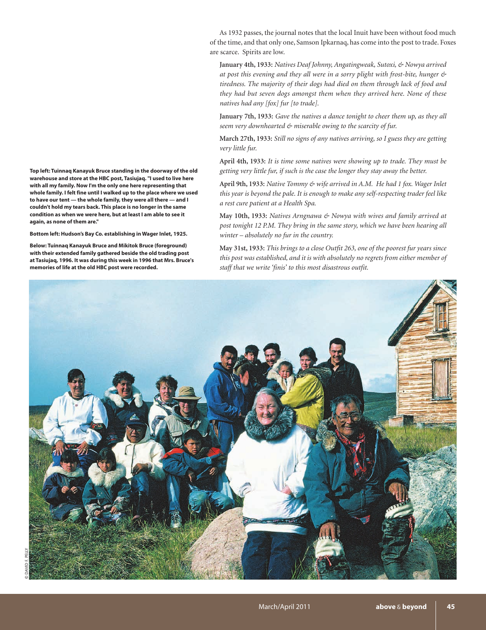**Top left: Tuinnaq Kanayuk Bruce standing in the doorway of the old warehouse and store at the HBC post, Tasiujaq. "I used to live here with all my family. Now I'm the only one here representing that whole family. I felt fine until I walked up to the place where we used to have our tent — the whole family, they were all there — and I couldn't hold my tears back. This place is no longer in the same condition as when we were here, but at least I am able to see it again, as none of them are."**

**Bottom left: Hudson's Bay Co. establishing in Wager Inlet, 1925.** 

**Below: Tuinnaq Kanayuk Bruce and Mikitok Bruce (foreground) with their extended family gathered beside the old trading post at Tasiujaq, 1996. It was during this week in 1996 that Mrs. Bruce's memories of life at the old HBC post were recorded.**

As 1932 passes, the journal notes that the local Inuit have been without food much of the time, and that only one, Samson Ipkarnaq, has come into the post to trade. Foxes are scarce. Spirits are low.

**January 4th, 1933:** *Natives Deaf Johnny, Angatingweak, Sutoxi, & Nowya arrived at post this evening and they all were in a sorry plight with frost-bite, hunger & tiredness. The majority of their dogs had died on them through lack of food and they had but seven dogs amongst them when they arrived here. None of these natives had any [fox] fur [to trade].*

**January 7th, 1933:** *Gave the natives a dance tonight to cheer them up, as they all seem very downhearted & miserable owing to the scarcity of fur.*

**March 27th, 1933:** *Still no signs of any natives arriving, so I guess they are getting very little fur.*

**April 4th, 1933:** *It is time some natives were showing up to trade. They must be getting very little fur, if such is the case the longer they stay away the better.*

**April 9th, 1933:** *Native Tommy & wife arrived in A.M. He had 1 fox. Wager Inlet this year is beyond the pale. It is enough to make any self-respecting trader feel like a rest cure patient at a Health Spa.*

**May 10th, 1933:** *Natives Arngnawa & Nowya with wives and family arrived at post tonight 12 P.M. They bring in the same story, which we have been hearing all winter – absolutely no fur in the country.*

**May 31st, 1933:** *This brings to a close Outfit 263, one of the poorest fur years since this post was established, and it is with absolutely no regrets from either member of staff that we write 'finis' to this most disastrous outfit.*